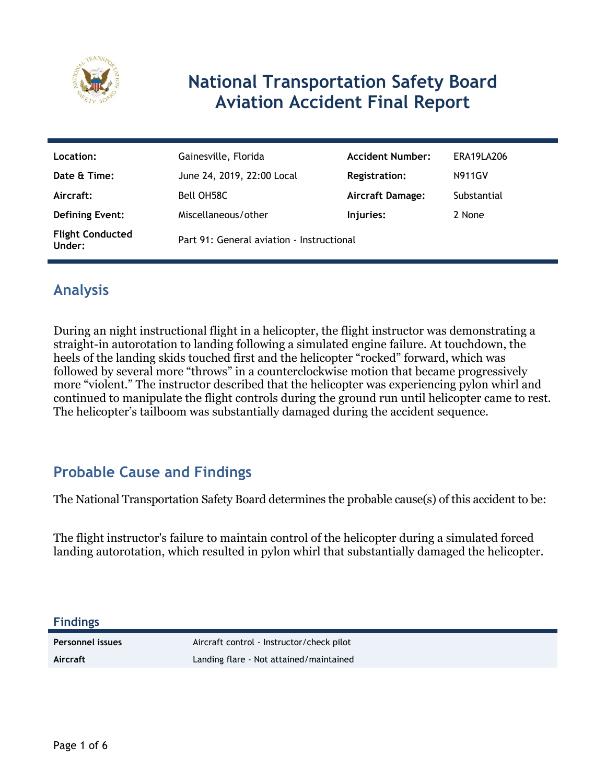

# **National Transportation Safety Board Aviation Accident Final Report**

| Location:                         | Gainesville, Florida                      | <b>Accident Number:</b> | ERA19LA206    |
|-----------------------------------|-------------------------------------------|-------------------------|---------------|
| Date & Time:                      | June 24, 2019, 22:00 Local                | Registration:           | <b>N911GV</b> |
| Aircraft:                         | Bell OH58C                                | <b>Aircraft Damage:</b> | Substantial   |
| <b>Defining Event:</b>            | Miscellaneous/other                       | Injuries:               | 2 None        |
| <b>Flight Conducted</b><br>Under: | Part 91: General aviation - Instructional |                         |               |

# **Analysis**

During an night instructional flight in a helicopter, the flight instructor was demonstrating a straight-in autorotation to landing following a simulated engine failure. At touchdown, the heels of the landing skids touched first and the helicopter "rocked" forward, which was followed by several more "throws" in a counterclockwise motion that became progressively more "violent." The instructor described that the helicopter was experiencing pylon whirl and continued to manipulate the flight controls during the ground run until helicopter came to rest. The helicopter's tailboom was substantially damaged during the accident sequence.

# **Probable Cause and Findings**

The National Transportation Safety Board determines the probable cause(s) of this accident to be:

The flight instructor's failure to maintain control of the helicopter during a simulated forced landing autorotation, which resulted in pylon whirl that substantially damaged the helicopter.

**Findings**

Personnel issues **Aircraft control - Instructor/check pilot Aircraft** Landing flare - Not attained/maintained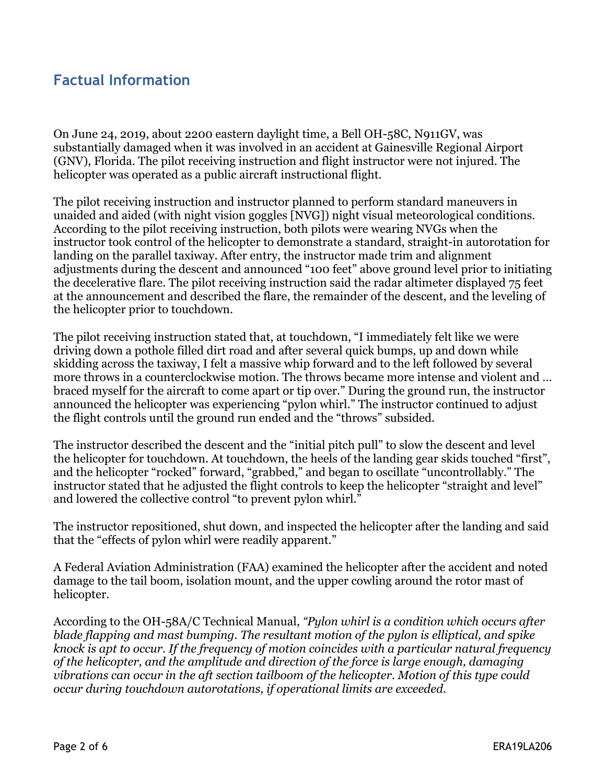## **Factual Information**

On June 24, 2019, about 2200 eastern daylight time, a Bell OH-58C, N911GV, was substantially damaged when it was involved in an accident at Gainesville Regional Airport (GNV), Florida. The pilot receiving instruction and flight instructor were not injured. The helicopter was operated as a public aircraft instructional flight.

The pilot receiving instruction and instructor planned to perform standard maneuvers in unaided and aided (with night vision goggles [NVG]) night visual meteorological conditions. According to the pilot receiving instruction, both pilots were wearing NVGs when the instructor took control of the helicopter to demonstrate a standard, straight-in autorotation for landing on the parallel taxiway. After entry, the instructor made trim and alignment adjustments during the descent and announced "100 feet" above ground level prior to initiating the decelerative flare. The pilot receiving instruction said the radar altimeter displayed 75 feet at the announcement and described the flare, the remainder of the descent, and the leveling of the helicopter prior to touchdown.

The pilot receiving instruction stated that, at touchdown, "I immediately felt like we were driving down a pothole filled dirt road and after several quick bumps, up and down while skidding across the taxiway, I felt a massive whip forward and to the left followed by several more throws in a counterclockwise motion. The throws became more intense and violent and … braced myself for the aircraft to come apart or tip over." During the ground run, the instructor announced the helicopter was experiencing "pylon whirl." The instructor continued to adjust the flight controls until the ground run ended and the "throws" subsided.

The instructor described the descent and the "initial pitch pull" to slow the descent and level the helicopter for touchdown. At touchdown, the heels of the landing gear skids touched "first", and the helicopter "rocked" forward, "grabbed," and began to oscillate "uncontrollably." The instructor stated that he adjusted the flight controls to keep the helicopter "straight and level" and lowered the collective control "to prevent pylon whirl."

The instructor repositioned, shut down, and inspected the helicopter after the landing and said that the "effects of pylon whirl were readily apparent."

A Federal Aviation Administration (FAA) examined the helicopter after the accident and noted damage to the tail boom, isolation mount, and the upper cowling around the rotor mast of helicopter.

According to the OH-58A/C Technical Manual, *"Pylon whirl is a condition which occurs after blade flapping and mast bumping. The resultant motion of the pylon is elliptical, and spike knock is apt to occur. If the frequency of motion coincides with a particular natural frequency of the helicopter, and the amplitude and direction of the force is large enough, damaging vibrations can occur in the aft section tailboom of the helicopter. Motion of this type could occur during touchdown autorotations, if operational limits are exceeded.*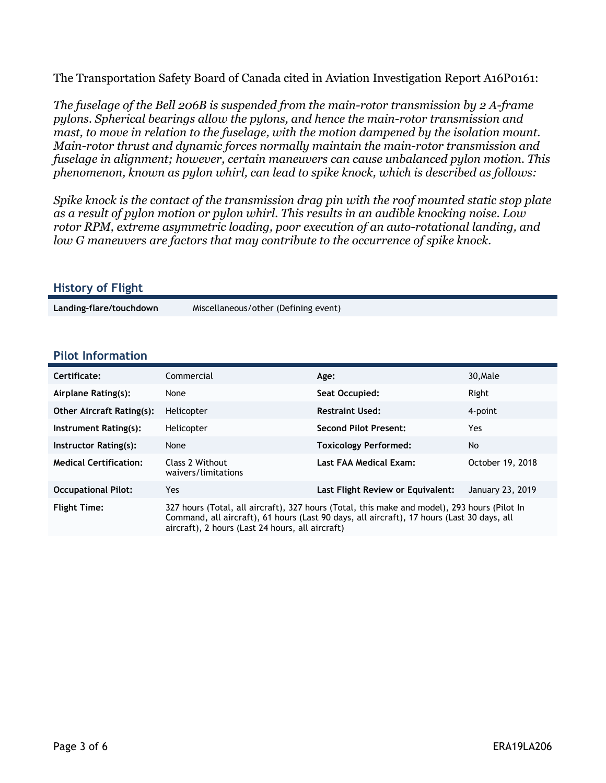The Transportation Safety Board of Canada cited in Aviation Investigation Report A16P0161:

*The fuselage of the Bell 206B is suspended from the main-rotor transmission by 2 A-frame pylons. Spherical bearings allow the pylons, and hence the main-rotor transmission and mast, to move in relation to the fuselage, with the motion dampened by the isolation mount. Main-rotor thrust and dynamic forces normally maintain the main-rotor transmission and fuselage in alignment; however, certain maneuvers can cause unbalanced pylon motion. This phenomenon, known as pylon whirl, can lead to spike knock, which is described as follows:*

*Spike knock is the contact of the transmission drag pin with the roof mounted static stop plate as a result of pylon motion or pylon whirl. This results in an audible knocking noise. Low rotor RPM, extreme asymmetric loading, poor execution of an auto-rotational landing, and low G maneuvers are factors that may contribute to the occurrence of spike knock.*

#### **History of Flight**

**Landing-flare/touchdown** Miscellaneous/other (Defining event)

#### **Pilot Information**

| Certificate:                     | Commercial                                                                                                                                                                                                                                     | Age:                              | 30, Male         |
|----------------------------------|------------------------------------------------------------------------------------------------------------------------------------------------------------------------------------------------------------------------------------------------|-----------------------------------|------------------|
| Airplane Rating(s):              | None                                                                                                                                                                                                                                           | Seat Occupied:                    | Right            |
| <b>Other Aircraft Rating(s):</b> | Helicopter                                                                                                                                                                                                                                     | <b>Restraint Used:</b>            | 4-point          |
| Instrument Rating(s):            | Helicopter                                                                                                                                                                                                                                     | <b>Second Pilot Present:</b>      | <b>Yes</b>       |
| Instructor Rating(s):            | None                                                                                                                                                                                                                                           | <b>Toxicology Performed:</b>      | No.              |
| <b>Medical Certification:</b>    | Class 2 Without<br>waivers/limitations                                                                                                                                                                                                         | Last FAA Medical Exam:            | October 19, 2018 |
| <b>Occupational Pilot:</b>       | Yes.                                                                                                                                                                                                                                           | Last Flight Review or Equivalent: | January 23, 2019 |
| <b>Flight Time:</b>              | 327 hours (Total, all aircraft), 327 hours (Total, this make and model), 293 hours (Pilot In<br>Command, all aircraft), 61 hours (Last 90 days, all aircraft), 17 hours (Last 30 days, all<br>aircraft), 2 hours (Last 24 hours, all aircraft) |                                   |                  |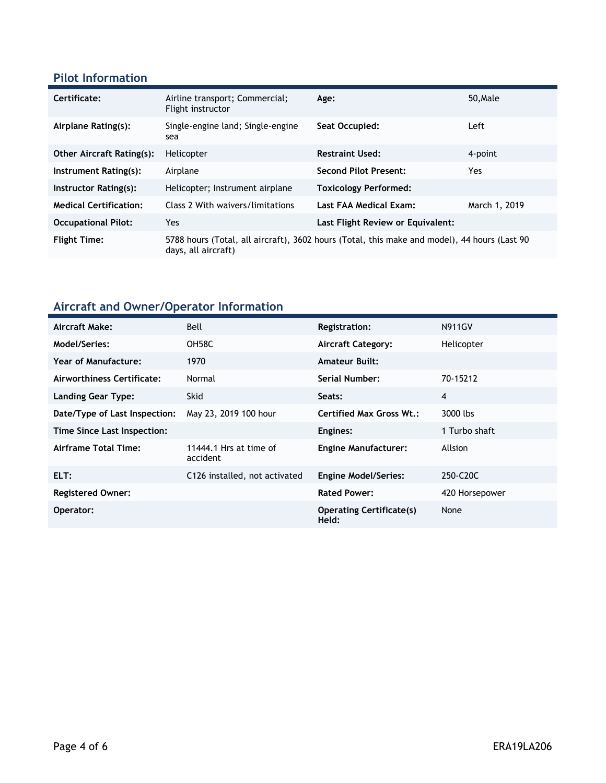### **Pilot Information**

| Certificate:                     | Airline transport; Commercial;<br>Flight instructor | Age:                                                                                         | 50.Male       |
|----------------------------------|-----------------------------------------------------|----------------------------------------------------------------------------------------------|---------------|
| Airplane Rating(s):              | Single-engine land; Single-engine<br>sea            | Seat Occupied:                                                                               | Left          |
| <b>Other Aircraft Rating(s):</b> | Helicopter                                          | <b>Restraint Used:</b>                                                                       | 4-point       |
| Instrument Rating(s):            | Airplane                                            | <b>Second Pilot Present:</b>                                                                 | Yes.          |
| Instructor Rating(s):            | Helicopter; Instrument airplane                     | <b>Toxicology Performed:</b>                                                                 |               |
| <b>Medical Certification:</b>    | Class 2 With waivers/limitations                    | Last FAA Medical Exam:                                                                       | March 1, 2019 |
| <b>Occupational Pilot:</b>       | Yes                                                 | Last Flight Review or Equivalent:                                                            |               |
| <b>Flight Time:</b>              | days, all aircraft)                                 | 5788 hours (Total, all aircraft), 3602 hours (Total, this make and model), 44 hours (Last 90 |               |

# **Aircraft and Owner/Operator Information**

| Aircraft Make:                | Bell                               | <b>Registration:</b>                     | <b>N911GV</b>  |
|-------------------------------|------------------------------------|------------------------------------------|----------------|
| Model/Series:                 | OH58C                              | <b>Aircraft Category:</b>                | Helicopter     |
| Year of Manufacture:          | 1970                               | <b>Amateur Built:</b>                    |                |
| Airworthiness Certificate:    | Normal                             | Serial Number:                           | 70-15212       |
| <b>Landing Gear Type:</b>     | <b>Skid</b>                        | Seats:                                   | 4              |
| Date/Type of Last Inspection: | May 23, 2019 100 hour              | <b>Certified Max Gross Wt.:</b>          | 3000 lbs       |
| Time Since Last Inspection:   |                                    | Engines:                                 | 1 Turbo shaft  |
| Airframe Total Time:          | 11444.1 Hrs at time of<br>accident | <b>Engine Manufacturer:</b>              | Allsion        |
| ELT:                          | C126 installed, not activated      | <b>Engine Model/Series:</b>              | 250-C20C       |
| <b>Registered Owner:</b>      |                                    | <b>Rated Power:</b>                      | 420 Horsepower |
| Operator:                     |                                    | <b>Operating Certificate(s)</b><br>Held: | None           |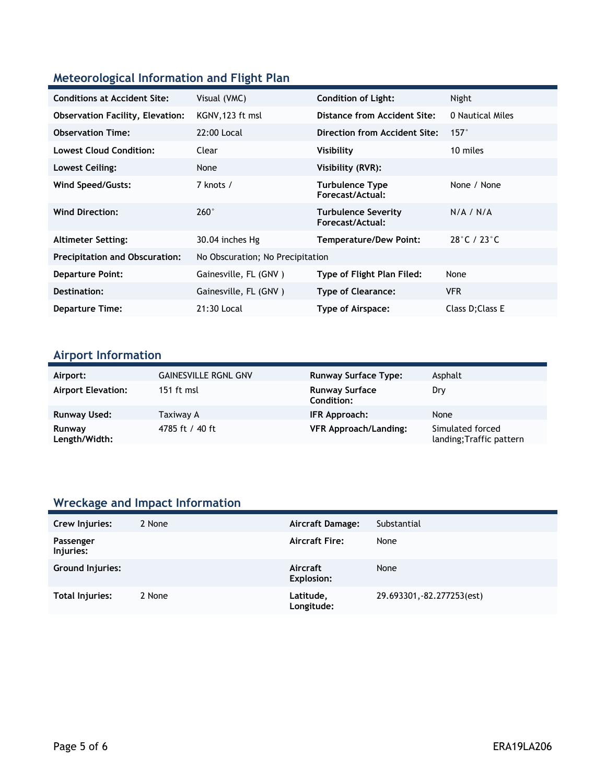## **Meteorological Information and Flight Plan**

| <b>Conditions at Accident Site:</b>     | Visual (VMC)                     | <b>Condition of Light:</b>                     | Night                           |
|-----------------------------------------|----------------------------------|------------------------------------------------|---------------------------------|
| <b>Observation Facility, Elevation:</b> | KGNV, 123 ft msl                 | Distance from Accident Site:                   | 0 Nautical Miles                |
| <b>Observation Time:</b>                | 22:00 Local                      | <b>Direction from Accident Site:</b>           | $157^\circ$                     |
| <b>Lowest Cloud Condition:</b>          | Clear                            | Visibility                                     | 10 miles                        |
| Lowest Ceiling:                         | None                             | Visibility (RVR):                              |                                 |
| Wind Speed/Gusts:                       | 7 knots /                        | <b>Turbulence Type</b><br>Forecast/Actual:     | None / None                     |
| <b>Wind Direction:</b>                  | $260^\circ$                      | <b>Turbulence Severity</b><br>Forecast/Actual: | N/A / N/A                       |
| <b>Altimeter Setting:</b>               | 30.04 inches Hg                  | <b>Temperature/Dew Point:</b>                  | $28^{\circ}$ C / $23^{\circ}$ C |
| <b>Precipitation and Obscuration:</b>   | No Obscuration; No Precipitation |                                                |                                 |
| <b>Departure Point:</b>                 | Gainesville, FL (GNV)            | Type of Flight Plan Filed:                     | None                            |
| Destination:                            | Gainesville, FL (GNV)            | <b>Type of Clearance:</b>                      | <b>VFR</b>                      |
| <b>Departure Time:</b>                  | 21:30 Local                      | Type of Airspace:                              | Class D; Class E                |

## **Airport Information**

| Airport:                  | <b>GAINESVILLE RGNL GNV</b> | <b>Runway Surface Type:</b>                | Asphalt                                      |
|---------------------------|-----------------------------|--------------------------------------------|----------------------------------------------|
| <b>Airport Elevation:</b> | 151 ft msl                  | <b>Runway Surface</b><br><b>Condition:</b> | Dry                                          |
| <b>Runway Used:</b>       | Taxiway A                   | IFR Approach:                              | None                                         |
| Runway<br>Length/Width:   | 4785 ft / 40 ft             | <b>VFR Approach/Landing:</b>               | Simulated forced<br>landing; Traffic pattern |

# **Wreckage and Impact Information**

| Crew Injuries:         | 2 None | <b>Aircraft Damage:</b> | Substantial                |
|------------------------|--------|-------------------------|----------------------------|
| Passenger<br>Injuries: |        | <b>Aircraft Fire:</b>   | None                       |
| Ground Injuries:       |        | Aircraft<br>Explosion:  | None                       |
| Total Injuries:        | 2 None | Latitude,<br>Longitude: | 29.693301, -82.277253(est) |